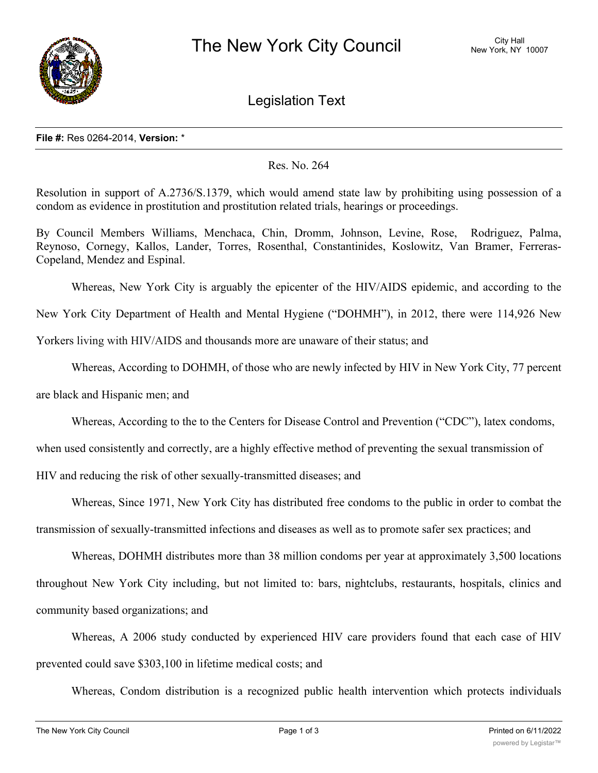

Legislation Text

## **File #:** Res 0264-2014, **Version:** \*

## Res. No. 264

Resolution in support of A.2736/S.1379, which would amend state law by prohibiting using possession of a condom as evidence in prostitution and prostitution related trials, hearings or proceedings.

By Council Members Williams, Menchaca, Chin, Dromm, Johnson, Levine, Rose, Rodriguez, Palma, Reynoso, Cornegy, Kallos, Lander, Torres, Rosenthal, Constantinides, Koslowitz, Van Bramer, Ferreras-Copeland, Mendez and Espinal.

Whereas, New York City is arguably the epicenter of the HIV/AIDS epidemic, and according to the

New York City Department of Health and Mental Hygiene ("DOHMH"), in 2012, there were 114,926 New

Yorkers living with HIV/AIDS and thousands more are unaware of their status; and

Whereas, According to DOHMH, of those who are newly infected by HIV in New York City, 77 percent

are black and Hispanic men; and

Whereas, According to the to the Centers for Disease Control and Prevention ("CDC"), latex condoms,

when used consistently and correctly, are a highly effective method of preventing the sexual transmission of

HIV and reducing the risk of other sexually-transmitted diseases; and

Whereas, Since 1971, New York City has distributed free condoms to the public in order to combat the transmission of sexually-transmitted infections and diseases as well as to promote safer sex practices; and

Whereas, DOHMH distributes more than 38 million condoms per year at approximately 3,500 locations throughout New York City including, but not limited to: bars, nightclubs, restaurants, hospitals, clinics and community based organizations; and

Whereas, A 2006 study conducted by experienced HIV care providers found that each case of HIV prevented could save \$303,100 in lifetime medical costs; and

Whereas, Condom distribution is a recognized public health intervention which protects individuals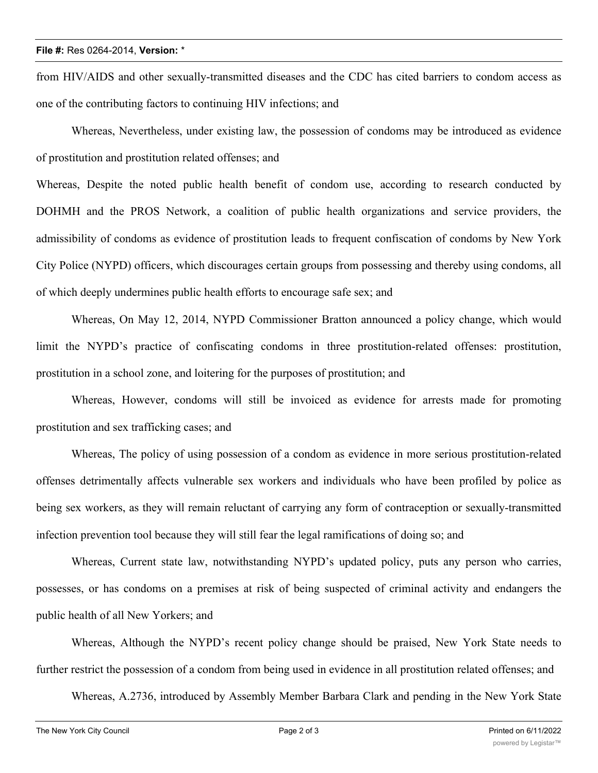## **File #:** Res 0264-2014, **Version:** \*

from HIV/AIDS and other sexually-transmitted diseases and the CDC has cited barriers to condom access as one of the contributing factors to continuing HIV infections; and

Whereas, Nevertheless, under existing law, the possession of condoms may be introduced as evidence of prostitution and prostitution related offenses; and

Whereas, Despite the noted public health benefit of condom use, according to research conducted by DOHMH and the PROS Network, a coalition of public health organizations and service providers, the admissibility of condoms as evidence of prostitution leads to frequent confiscation of condoms by New York City Police (NYPD) officers, which discourages certain groups from possessing and thereby using condoms, all of which deeply undermines public health efforts to encourage safe sex; and

Whereas, On May 12, 2014, NYPD Commissioner Bratton announced a policy change, which would limit the NYPD's practice of confiscating condoms in three prostitution-related offenses: prostitution, prostitution in a school zone, and loitering for the purposes of prostitution; and

Whereas, However, condoms will still be invoiced as evidence for arrests made for promoting prostitution and sex trafficking cases; and

Whereas, The policy of using possession of a condom as evidence in more serious prostitution-related offenses detrimentally affects vulnerable sex workers and individuals who have been profiled by police as being sex workers, as they will remain reluctant of carrying any form of contraception or sexually-transmitted infection prevention tool because they will still fear the legal ramifications of doing so; and

Whereas, Current state law, notwithstanding NYPD's updated policy, puts any person who carries, possesses, or has condoms on a premises at risk of being suspected of criminal activity and endangers the public health of all New Yorkers; and

Whereas, Although the NYPD's recent policy change should be praised, New York State needs to further restrict the possession of a condom from being used in evidence in all prostitution related offenses; and

Whereas, A.2736, introduced by Assembly Member Barbara Clark and pending in the New York State